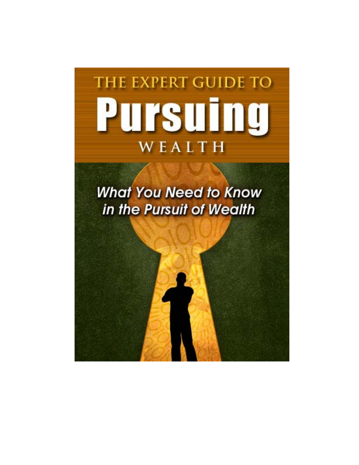

**What You Need to Know** in the Pursuit of Wealth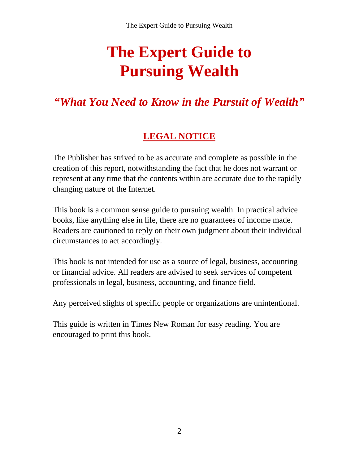# **The Expert Guide to Pursuing Wealth**

# *"What You Need to Know in the Pursuit of Wealth"*

# **LEGAL NOTICE**

The Publisher has strived to be as accurate and complete as possible in the creation of this report, notwithstanding the fact that he does not warrant or represent at any time that the contents within are accurate due to the rapidly changing nature of the Internet.

This book is a common sense guide to pursuing wealth. In practical advice books, like anything else in life, there are no guarantees of income made. Readers are cautioned to reply on their own judgment about their individual circumstances to act accordingly.

This book is not intended for use as a source of legal, business, accounting or financial advice. All readers are advised to seek services of competent professionals in legal, business, accounting, and finance field.

Any perceived slights of specific people or organizations are unintentional.

This guide is written in Times New Roman for easy reading. You are encouraged to print this book.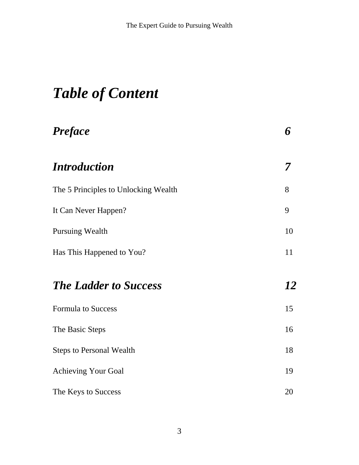# **Table of Content**

| <b>Preface</b>                       | 6  |
|--------------------------------------|----|
| <i><b>Introduction</b></i>           | 7  |
| The 5 Principles to Unlocking Wealth | 8  |
| It Can Never Happen?                 | 9  |
| <b>Pursuing Wealth</b>               | 10 |
| Has This Happened to You?            | 11 |
| <b>The Ladder to Success</b>         | 12 |
| <b>Formula to Success</b>            | 15 |
| The Basic Steps                      | 16 |
| <b>Steps to Personal Wealth</b>      | 18 |
| <b>Achieving Your Goal</b>           | 19 |
| The Keys to Success                  | 20 |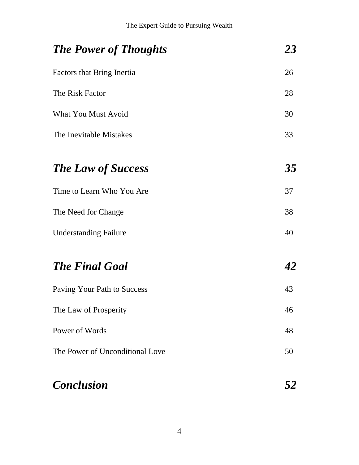| <b>The Power of Thoughts</b>      | 23 |
|-----------------------------------|----|
| <b>Factors that Bring Inertia</b> | 26 |
| The Risk Factor                   | 28 |
| <b>What You Must Avoid</b>        | 30 |
| The Inevitable Mistakes           | 33 |
| <b>The Law of Success</b>         | 35 |
| Time to Learn Who You Are         | 37 |
| The Need for Change               | 38 |
| <b>Understanding Failure</b>      | 40 |
| <b>The Final Goal</b>             | 42 |
| Paving Your Path to Success       | 43 |
| The Law of Prosperity             | 46 |
| Power of Words                    | 48 |
| The Power of Unconditional Love   | 50 |
| <b>Conclusion</b>                 | 52 |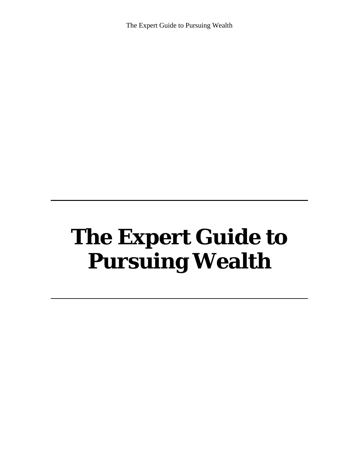The Expert Guide to Pursuing Wealth

# $\Gamma$ <sub>In</sub>  $\Gamma$ <sub>Inneed</sub>  $\Gamma$ <sub>I</sub>,  $d_{\rho}$  to IIC EApcit Guiuc W. **The Expert Guide to Pursuing Wealth**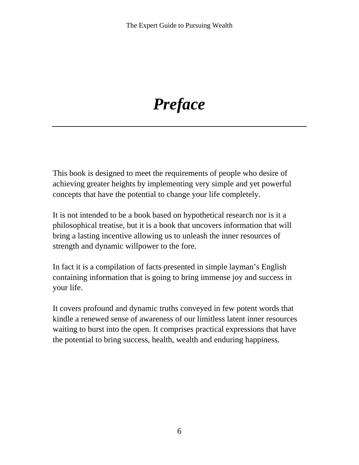# *Preface*

This book is designed to meet the requirements of people who desire of achieving greater heights by implementing very simple and yet powerful concepts that have the potential to change your life completely.

It is not intended to be a book based on hypothetical research nor is it a philosophical treatise, but it is a book that uncovers information that will bring a lasting incentive allowing us to unleash the inner resources of strength and dynamic willpower to the fore.

In fact it is a compilation of facts presented in simple layman's English containing information that is going to bring immense joy and success in your life.

It covers profound and dynamic truths conveyed in few potent words that kindle a renewed sense of awareness of our limitless latent inner resources waiting to burst into the open. It comprises practical expressions that have the potential to bring success, health, wealth and enduring happiness.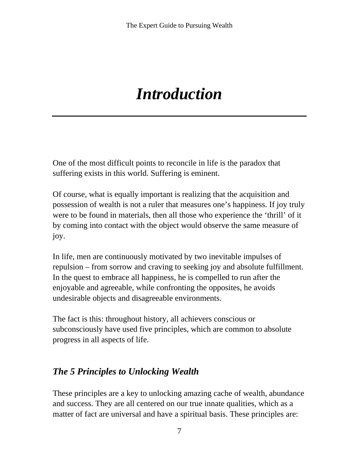# *Introduction*

One of the most difficult points to reconcile in life is the paradox that suffering exists in this world. Suffering is eminent.

Of course, what is equally important is realizing that the acquisition and possession of wealth is not a ruler that measures one's happiness. If joy truly were to be found in materials, then all those who experience the 'thrill' of it by coming into contact with the object would observe the same measure of joy.

In life, men are continuously motivated by two inevitable impulses of repulsion – from sorrow and craving to seeking joy and absolute fulfillment. In the quest to embrace all happiness, he is compelled to run after the enjoyable and agreeable, while confronting the opposites, he avoids undesirable objects and disagreeable environments.

The fact is this: throughout history, all achievers conscious or subconsciously have used five principles, which are common to absolute progress in all aspects of life.

### *The 5 Principles to Unlocking Wealth*

These principles are a key to unlocking amazing cache of wealth, abundance and success. They are all centered on our true innate qualities, which as a matter of fact are universal and have a spiritual basis. These principles are: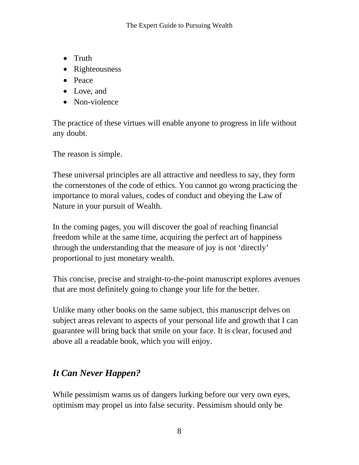- Truth
- Righteousness
- Peace
- Love, and
- Non-violence

The practice of these virtues will enable anyone to progress in life without any doubt.

The reason is simple.

These universal principles are all attractive and needless to say, they form the cornerstones of the code of ethics. You cannot go wrong practicing the importance to moral values, codes of conduct and obeying the Law of Nature in your pursuit of Wealth.

In the coming pages, you will discover the goal of reaching financial freedom while at the same time, acquiring the perfect art of happiness through the understanding that the measure of joy is not 'directly' proportional to just monetary wealth.

This concise, precise and straight-to-the-point manuscript explores avenues that are most definitely going to change your life for the better.

Unlike many other books on the same subject, this manuscript delves on subject areas relevant to aspects of your personal life and growth that I can guarantee will bring back that smile on your face. It is clear, focused and above all a readable book, which you will enjoy.

# *It Can Never Happen?*

While pessimism warns us of dangers lurking before our very own eyes, optimism may propel us into false security. Pessimism should only be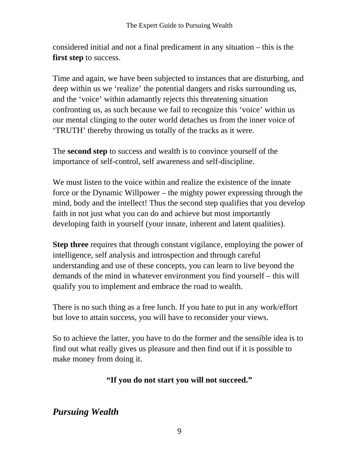considered initial and not a final predicament in any situation – this is the **first step** to success.

Time and again, we have been subjected to instances that are disturbing, and deep within us we 'realize' the potential dangers and risks surrounding us, and the 'voice' within adamantly rejects this threatening situation confronting us, as such because we fail to recognize this 'voice' within us our mental clinging to the outer world detaches us from the inner voice of 'TRUTH' thereby throwing us totally of the tracks as it were.

The **second step** to success and wealth is to convince yourself of the importance of self-control, self awareness and self-discipline.

We must listen to the voice within and realize the existence of the innate force or the Dynamic Willpower – the mighty power expressing through the mind, body and the intellect! Thus the second step qualifies that you develop faith in not just what you can do and achieve but most importantly developing faith in yourself (your innate, inherent and latent qualities).

**Step three** requires that through constant vigilance, employing the power of intelligence, self analysis and introspection and through careful understanding and use of these concepts, you can learn to live beyond the demands of the mind in whatever environment you find yourself – this will qualify you to implement and embrace the road to wealth.

There is no such thing as a free lunch. If you hate to put in any work/effort but love to attain success, you will have to reconsider your views.

So to achieve the latter, you have to do the former and the sensible idea is to find out what really gives us pleasure and then find out if it is possible to make money from doing it.

#### **"If you do not start you will not succeed."**

### *Pursuing Wealth*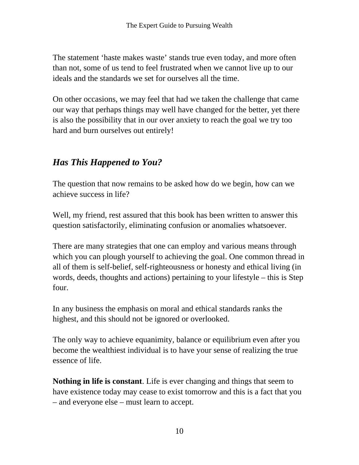The statement 'haste makes waste' stands true even today, and more often than not, some of us tend to feel frustrated when we cannot live up to our ideals and the standards we set for ourselves all the time.

On other occasions, we may feel that had we taken the challenge that came our way that perhaps things may well have changed for the better, yet there is also the possibility that in our over anxiety to reach the goal we try too hard and burn ourselves out entirely!

# *Has This Happened to You?*

The question that now remains to be asked how do we begin, how can we achieve success in life?

Well, my friend, rest assured that this book has been written to answer this question satisfactorily, eliminating confusion or anomalies whatsoever.

There are many strategies that one can employ and various means through which you can plough yourself to achieving the goal. One common thread in all of them is self-belief, self-righteousness or honesty and ethical living (in words, deeds, thoughts and actions) pertaining to your lifestyle – this is Step four.

In any business the emphasis on moral and ethical standards ranks the highest, and this should not be ignored or overlooked.

The only way to achieve equanimity, balance or equilibrium even after you become the wealthiest individual is to have your sense of realizing the true essence of life.

**Nothing in life is constant**. Life is ever changing and things that seem to have existence today may cease to exist tomorrow and this is a fact that you – and everyone else – must learn to accept.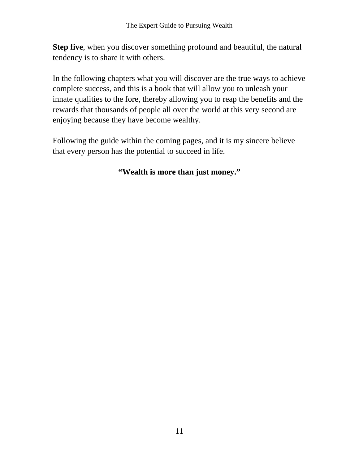**Step five**, when you discover something profound and beautiful, the natural tendency is to share it with others.

In the following chapters what you will discover are the true ways to achieve complete success, and this is a book that will allow you to unleash your innate qualities to the fore, thereby allowing you to reap the benefits and the rewards that thousands of people all over the world at this very second are enjoying because they have become wealthy.

Following the guide within the coming pages, and it is my sincere believe that every person has the potential to succeed in life.

#### **"Wealth is more than just money."**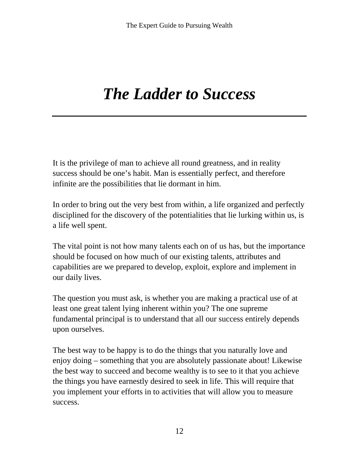# *The Ladder to Success*

It is the privilege of man to achieve all round greatness, and in reality success should be one's habit. Man is essentially perfect, and therefore infinite are the possibilities that lie dormant in him.

In order to bring out the very best from within, a life organized and perfectly disciplined for the discovery of the potentialities that lie lurking within us, is a life well spent.

The vital point is not how many talents each on of us has, but the importance should be focused on how much of our existing talents, attributes and capabilities are we prepared to develop, exploit, explore and implement in our daily lives.

The question you must ask, is whether you are making a practical use of at least one great talent lying inherent within you? The one supreme fundamental principal is to understand that all our success entirely depends upon ourselves.

The best way to be happy is to do the things that you naturally love and enjoy doing – something that you are absolutely passionate about! Likewise the best way to succeed and become wealthy is to see to it that you achieve the things you have earnestly desired to seek in life. This will require that you implement your efforts in to activities that will allow you to measure success.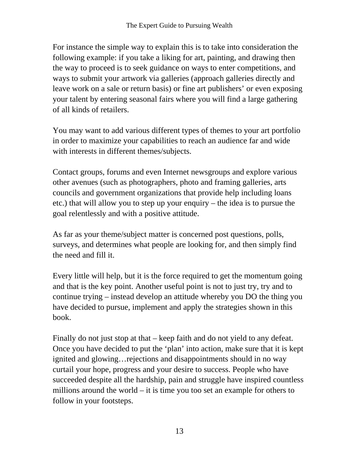For instance the simple way to explain this is to take into consideration the following example: if you take a liking for art, painting, and drawing then the way to proceed is to seek guidance on ways to enter competitions, and ways to submit your artwork via galleries (approach galleries directly and leave work on a sale or return basis) or fine art publishers' or even exposing your talent by entering seasonal fairs where you will find a large gathering of all kinds of retailers.

You may want to add various different types of themes to your art portfolio in order to maximize your capabilities to reach an audience far and wide with interests in different themes/subjects.

Contact groups, forums and even Internet newsgroups and explore various other avenues (such as photographers, photo and framing galleries, arts councils and government organizations that provide help including loans etc.) that will allow you to step up your enquiry – the idea is to pursue the goal relentlessly and with a positive attitude.

As far as your theme/subject matter is concerned post questions, polls, surveys, and determines what people are looking for, and then simply find the need and fill it.

Every little will help, but it is the force required to get the momentum going and that is the key point. Another useful point is not to just try, try and to continue trying – instead develop an attitude whereby you DO the thing you have decided to pursue, implement and apply the strategies shown in this book.

Finally do not just stop at that – keep faith and do not yield to any defeat. Once you have decided to put the 'plan' into action, make sure that it is kept ignited and glowing…rejections and disappointments should in no way curtail your hope, progress and your desire to success. People who have succeeded despite all the hardship, pain and struggle have inspired countless millions around the world – it is time you too set an example for others to follow in your footsteps.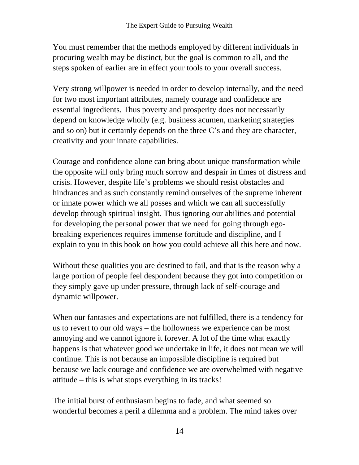You must remember that the methods employed by different individuals in procuring wealth may be distinct, but the goal is common to all, and the steps spoken of earlier are in effect your tools to your overall success.

Very strong willpower is needed in order to develop internally, and the need for two most important attributes, namely courage and confidence are essential ingredients. Thus poverty and prosperity does not necessarily depend on knowledge wholly (e.g. business acumen, marketing strategies and so on) but it certainly depends on the three C's and they are character, creativity and your innate capabilities.

Courage and confidence alone can bring about unique transformation while the opposite will only bring much sorrow and despair in times of distress and crisis. However, despite life's problems we should resist obstacles and hindrances and as such constantly remind ourselves of the supreme inherent or innate power which we all posses and which we can all successfully develop through spiritual insight. Thus ignoring our abilities and potential for developing the personal power that we need for going through egobreaking experiences requires immense fortitude and discipline, and I explain to you in this book on how you could achieve all this here and now.

Without these qualities you are destined to fail, and that is the reason why a large portion of people feel despondent because they got into competition or they simply gave up under pressure, through lack of self-courage and dynamic willpower.

When our fantasies and expectations are not fulfilled, there is a tendency for us to revert to our old ways – the hollowness we experience can be most annoying and we cannot ignore it forever. A lot of the time what exactly happens is that whatever good we undertake in life, it does not mean we will continue. This is not because an impossible discipline is required but because we lack courage and confidence we are overwhelmed with negative attitude – this is what stops everything in its tracks!

The initial burst of enthusiasm begins to fade, and what seemed so wonderful becomes a peril a dilemma and a problem. The mind takes over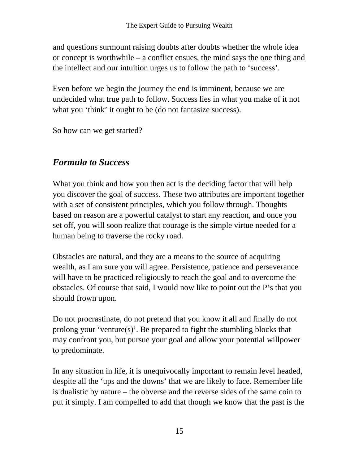and questions surmount raising doubts after doubts whether the whole idea or concept is worthwhile – a conflict ensues, the mind says the one thing and the intellect and our intuition urges us to follow the path to 'success'.

Even before we begin the journey the end is imminent, because we are undecided what true path to follow. Success lies in what you make of it not what you 'think' it ought to be (do not fantasize success).

So how can we get started?

# *Formula to Success*

What you think and how you then act is the deciding factor that will help you discover the goal of success. These two attributes are important together with a set of consistent principles, which you follow through. Thoughts based on reason are a powerful catalyst to start any reaction, and once you set off, you will soon realize that courage is the simple virtue needed for a human being to traverse the rocky road.

Obstacles are natural, and they are a means to the source of acquiring wealth, as I am sure you will agree. Persistence, patience and perseverance will have to be practiced religiously to reach the goal and to overcome the obstacles. Of course that said, I would now like to point out the P's that you should frown upon.

Do not procrastinate, do not pretend that you know it all and finally do not prolong your 'venture(s)'. Be prepared to fight the stumbling blocks that may confront you, but pursue your goal and allow your potential willpower to predominate.

In any situation in life, it is unequivocally important to remain level headed, despite all the 'ups and the downs' that we are likely to face. Remember life is dualistic by nature – the obverse and the reverse sides of the same coin to put it simply. I am compelled to add that though we know that the past is the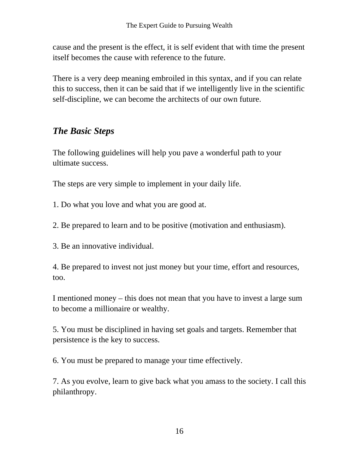cause and the present is the effect, it is self evident that with time the present itself becomes the cause with reference to the future.

There is a very deep meaning embroiled in this syntax, and if you can relate this to success, then it can be said that if we intelligently live in the scientific self-discipline, we can become the architects of our own future.

# *The Basic Steps*

The following guidelines will help you pave a wonderful path to your ultimate success.

The steps are very simple to implement in your daily life.

- 1. Do what you love and what you are good at.
- 2. Be prepared to learn and to be positive (motivation and enthusiasm).
- 3. Be an innovative individual.

4. Be prepared to invest not just money but your time, effort and resources, too.

I mentioned money – this does not mean that you have to invest a large sum to become a millionaire or wealthy.

5. You must be disciplined in having set goals and targets. Remember that persistence is the key to success.

6. You must be prepared to manage your time effectively.

7. As you evolve, learn to give back what you amass to the society. I call this philanthropy.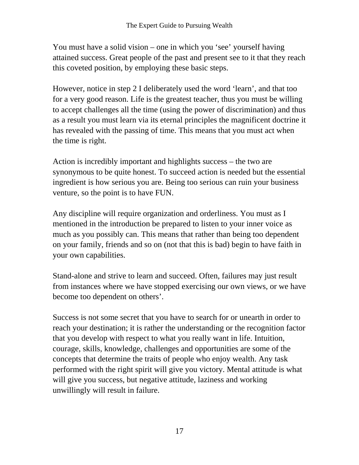You must have a solid vision – one in which you 'see' yourself having attained success. Great people of the past and present see to it that they reach this coveted position, by employing these basic steps.

However, notice in step 2 I deliberately used the word 'learn', and that too for a very good reason. Life is the greatest teacher, thus you must be willing to accept challenges all the time (using the power of discrimination) and thus as a result you must learn via its eternal principles the magnificent doctrine it has revealed with the passing of time. This means that you must act when the time is right.

Action is incredibly important and highlights success – the two are synonymous to be quite honest. To succeed action is needed but the essential ingredient is how serious you are. Being too serious can ruin your business venture, so the point is to have FUN.

Any discipline will require organization and orderliness. You must as I mentioned in the introduction be prepared to listen to your inner voice as much as you possibly can. This means that rather than being too dependent on your family, friends and so on (not that this is bad) begin to have faith in your own capabilities.

Stand-alone and strive to learn and succeed. Often, failures may just result from instances where we have stopped exercising our own views, or we have become too dependent on others'.

Success is not some secret that you have to search for or unearth in order to reach your destination; it is rather the understanding or the recognition factor that you develop with respect to what you really want in life. Intuition, courage, skills, knowledge, challenges and opportunities are some of the concepts that determine the traits of people who enjoy wealth. Any task performed with the right spirit will give you victory. Mental attitude is what will give you success, but negative attitude, laziness and working unwillingly will result in failure.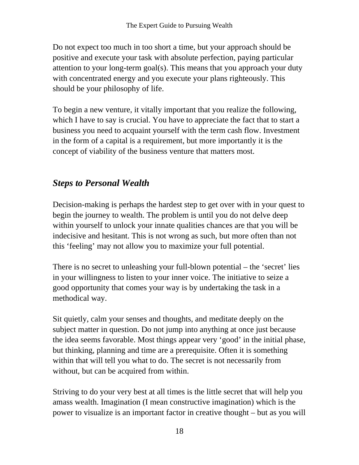Do not expect too much in too short a time, but your approach should be positive and execute your task with absolute perfection, paying particular attention to your long-term goal(s). This means that you approach your duty with concentrated energy and you execute your plans righteously. This should be your philosophy of life.

To begin a new venture, it vitally important that you realize the following, which I have to say is crucial. You have to appreciate the fact that to start a business you need to acquaint yourself with the term cash flow. Investment in the form of a capital is a requirement, but more importantly it is the concept of viability of the business venture that matters most.

# *Steps to Personal Wealth*

Decision-making is perhaps the hardest step to get over with in your quest to begin the journey to wealth. The problem is until you do not delve deep within yourself to unlock your innate qualities chances are that you will be indecisive and hesitant. This is not wrong as such, but more often than not this 'feeling' may not allow you to maximize your full potential.

There is no secret to unleashing your full-blown potential – the 'secret' lies in your willingness to listen to your inner voice. The initiative to seize a good opportunity that comes your way is by undertaking the task in a methodical way.

Sit quietly, calm your senses and thoughts, and meditate deeply on the subject matter in question. Do not jump into anything at once just because the idea seems favorable. Most things appear very 'good' in the initial phase, but thinking, planning and time are a prerequisite. Often it is something within that will tell you what to do. The secret is not necessarily from without, but can be acquired from within.

Striving to do your very best at all times is the little secret that will help you amass wealth. Imagination (I mean constructive imagination) which is the power to visualize is an important factor in creative thought – but as you will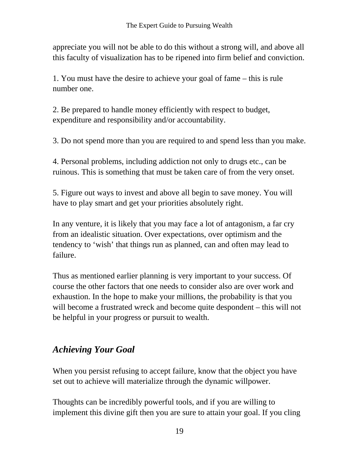appreciate you will not be able to do this without a strong will, and above all this faculty of visualization has to be ripened into firm belief and conviction.

1. You must have the desire to achieve your goal of fame – this is rule number one.

2. Be prepared to handle money efficiently with respect to budget, expenditure and responsibility and/or accountability.

3. Do not spend more than you are required to and spend less than you make.

4. Personal problems, including addiction not only to drugs etc., can be ruinous. This is something that must be taken care of from the very onset.

5. Figure out ways to invest and above all begin to save money. You will have to play smart and get your priorities absolutely right.

In any venture, it is likely that you may face a lot of antagonism, a far cry from an idealistic situation. Over expectations, over optimism and the tendency to 'wish' that things run as planned, can and often may lead to failure.

Thus as mentioned earlier planning is very important to your success. Of course the other factors that one needs to consider also are over work and exhaustion. In the hope to make your millions, the probability is that you will become a frustrated wreck and become quite despondent – this will not be helpful in your progress or pursuit to wealth.

# *Achieving Your Goal*

When you persist refusing to accept failure, know that the object you have set out to achieve will materialize through the dynamic willpower.

Thoughts can be incredibly powerful tools, and if you are willing to implement this divine gift then you are sure to attain your goal. If you cling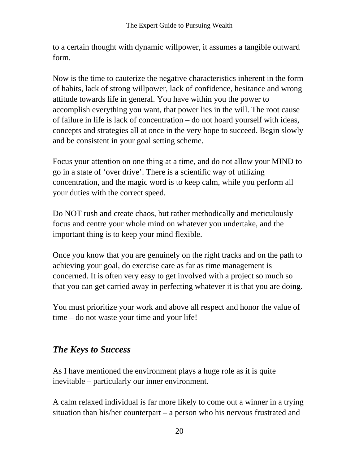to a certain thought with dynamic willpower, it assumes a tangible outward form.

Now is the time to cauterize the negative characteristics inherent in the form of habits, lack of strong willpower, lack of confidence, hesitance and wrong attitude towards life in general. You have within you the power to accomplish everything you want, that power lies in the will. The root cause of failure in life is lack of concentration – do not hoard yourself with ideas, concepts and strategies all at once in the very hope to succeed. Begin slowly and be consistent in your goal setting scheme.

Focus your attention on one thing at a time, and do not allow your MIND to go in a state of 'over drive'. There is a scientific way of utilizing concentration, and the magic word is to keep calm, while you perform all your duties with the correct speed.

Do NOT rush and create chaos, but rather methodically and meticulously focus and centre your whole mind on whatever you undertake, and the important thing is to keep your mind flexible.

Once you know that you are genuinely on the right tracks and on the path to achieving your goal, do exercise care as far as time management is concerned. It is often very easy to get involved with a project so much so that you can get carried away in perfecting whatever it is that you are doing.

You must prioritize your work and above all respect and honor the value of time – do not waste your time and your life!

# *The Keys to Success*

As I have mentioned the environment plays a huge role as it is quite inevitable – particularly our inner environment.

A calm relaxed individual is far more likely to come out a winner in a trying situation than his/her counterpart – a person who his nervous frustrated and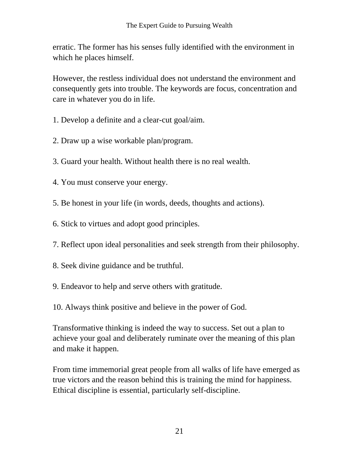erratic. The former has his senses fully identified with the environment in which he places himself.

However, the restless individual does not understand the environment and consequently gets into trouble. The keywords are focus, concentration and care in whatever you do in life.

- 1. Develop a definite and a clear-cut goal/aim.
- 2. Draw up a wise workable plan/program.
- 3. Guard your health. Without health there is no real wealth.
- 4. You must conserve your energy.
- 5. Be honest in your life (in words, deeds, thoughts and actions).
- 6. Stick to virtues and adopt good principles.
- 7. Reflect upon ideal personalities and seek strength from their philosophy.
- 8. Seek divine guidance and be truthful.
- 9. Endeavor to help and serve others with gratitude.
- 10. Always think positive and believe in the power of God.

Transformative thinking is indeed the way to success. Set out a plan to achieve your goal and deliberately ruminate over the meaning of this plan and make it happen.

From time immemorial great people from all walks of life have emerged as true victors and the reason behind this is training the mind for happiness. Ethical discipline is essential, particularly self-discipline.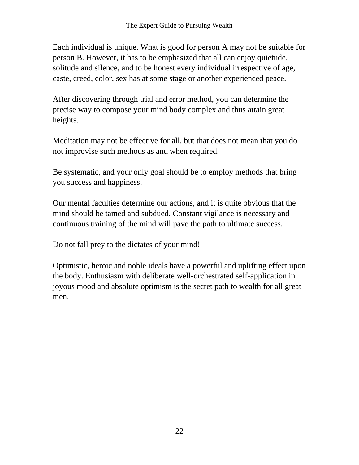Each individual is unique. What is good for person A may not be suitable for person B. However, it has to be emphasized that all can enjoy quietude, solitude and silence, and to be honest every individual irrespective of age, caste, creed, color, sex has at some stage or another experienced peace.

After discovering through trial and error method, you can determine the precise way to compose your mind body complex and thus attain great heights.

Meditation may not be effective for all, but that does not mean that you do not improvise such methods as and when required.

Be systematic, and your only goal should be to employ methods that bring you success and happiness.

Our mental faculties determine our actions, and it is quite obvious that the mind should be tamed and subdued. Constant vigilance is necessary and continuous training of the mind will pave the path to ultimate success.

Do not fall prey to the dictates of your mind!

Optimistic, heroic and noble ideals have a powerful and uplifting effect upon the body. Enthusiasm with deliberate well-orchestrated self-application in joyous mood and absolute optimism is the secret path to wealth for all great men.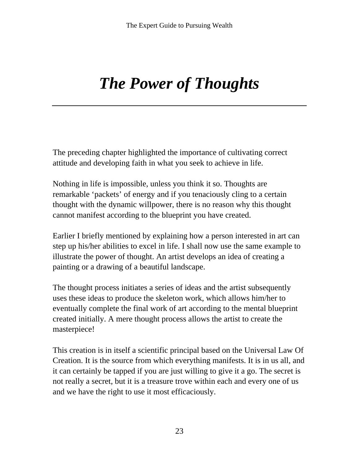# *The Power of Thoughts*

The preceding chapter highlighted the importance of cultivating correct attitude and developing faith in what you seek to achieve in life.

Nothing in life is impossible, unless you think it so. Thoughts are remarkable 'packets' of energy and if you tenaciously cling to a certain thought with the dynamic willpower, there is no reason why this thought cannot manifest according to the blueprint you have created.

Earlier I briefly mentioned by explaining how a person interested in art can step up his/her abilities to excel in life. I shall now use the same example to illustrate the power of thought. An artist develops an idea of creating a painting or a drawing of a beautiful landscape.

The thought process initiates a series of ideas and the artist subsequently uses these ideas to produce the skeleton work, which allows him/her to eventually complete the final work of art according to the mental blueprint created initially. A mere thought process allows the artist to create the masterpiece!

This creation is in itself a scientific principal based on the Universal Law Of Creation. It is the source from which everything manifests. It is in us all, and it can certainly be tapped if you are just willing to give it a go. The secret is not really a secret, but it is a treasure trove within each and every one of us and we have the right to use it most efficaciously.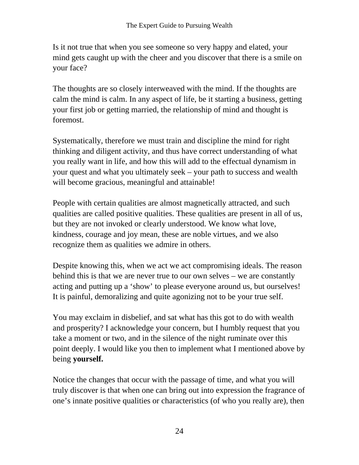Is it not true that when you see someone so very happy and elated, your mind gets caught up with the cheer and you discover that there is a smile on your face?

The thoughts are so closely interweaved with the mind. If the thoughts are calm the mind is calm. In any aspect of life, be it starting a business, getting your first job or getting married, the relationship of mind and thought is foremost.

Systematically, therefore we must train and discipline the mind for right thinking and diligent activity, and thus have correct understanding of what you really want in life, and how this will add to the effectual dynamism in your quest and what you ultimately seek – your path to success and wealth will become gracious, meaningful and attainable!

People with certain qualities are almost magnetically attracted, and such qualities are called positive qualities. These qualities are present in all of us, but they are not invoked or clearly understood. We know what love, kindness, courage and joy mean, these are noble virtues, and we also recognize them as qualities we admire in others.

Despite knowing this, when we act we act compromising ideals. The reason behind this is that we are never true to our own selves – we are constantly acting and putting up a 'show' to please everyone around us, but ourselves! It is painful, demoralizing and quite agonizing not to be your true self.

You may exclaim in disbelief, and sat what has this got to do with wealth and prosperity? I acknowledge your concern, but I humbly request that you take a moment or two, and in the silence of the night ruminate over this point deeply. I would like you then to implement what I mentioned above by being **yourself.** 

Notice the changes that occur with the passage of time, and what you will truly discover is that when one can bring out into expression the fragrance of one's innate positive qualities or characteristics (of who you really are), then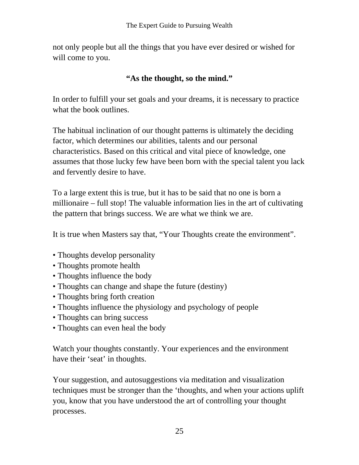not only people but all the things that you have ever desired or wished for will come to you.

#### **"As the thought, so the mind."**

In order to fulfill your set goals and your dreams, it is necessary to practice what the book outlines.

The habitual inclination of our thought patterns is ultimately the deciding factor, which determines our abilities, talents and our personal characteristics. Based on this critical and vital piece of knowledge, one assumes that those lucky few have been born with the special talent you lack and fervently desire to have.

To a large extent this is true, but it has to be said that no one is born a millionaire – full stop! The valuable information lies in the art of cultivating the pattern that brings success. We are what we think we are.

It is true when Masters say that, "Your Thoughts create the environment".

- Thoughts develop personality
- Thoughts promote health
- Thoughts influence the body
- Thoughts can change and shape the future (destiny)
- Thoughts bring forth creation
- Thoughts influence the physiology and psychology of people
- Thoughts can bring success
- Thoughts can even heal the body

Watch your thoughts constantly. Your experiences and the environment have their 'seat' in thoughts.

Your suggestion, and autosuggestions via meditation and visualization techniques must be stronger than the 'thoughts, and when your actions uplift you, know that you have understood the art of controlling your thought processes.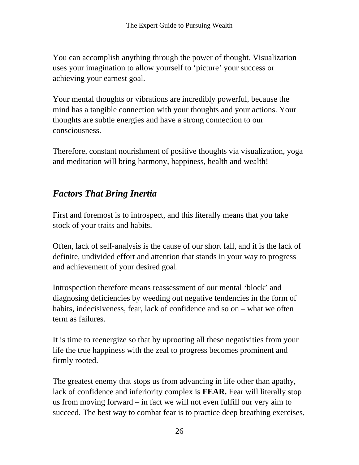You can accomplish anything through the power of thought. Visualization uses your imagination to allow yourself to 'picture' your success or achieving your earnest goal.

Your mental thoughts or vibrations are incredibly powerful, because the mind has a tangible connection with your thoughts and your actions. Your thoughts are subtle energies and have a strong connection to our consciousness.

Therefore, constant nourishment of positive thoughts via visualization, yoga and meditation will bring harmony, happiness, health and wealth!

# *Factors That Bring Inertia*

First and foremost is to introspect, and this literally means that you take stock of your traits and habits.

Often, lack of self-analysis is the cause of our short fall, and it is the lack of definite, undivided effort and attention that stands in your way to progress and achievement of your desired goal.

Introspection therefore means reassessment of our mental 'block' and diagnosing deficiencies by weeding out negative tendencies in the form of habits, indecisiveness, fear, lack of confidence and so on – what we often term as failures.

It is time to reenergize so that by uprooting all these negativities from your life the true happiness with the zeal to progress becomes prominent and firmly rooted.

The greatest enemy that stops us from advancing in life other than apathy, lack of confidence and inferiority complex is **FEAR.** Fear will literally stop us from moving forward – in fact we will not even fulfill our very aim to succeed. The best way to combat fear is to practice deep breathing exercises,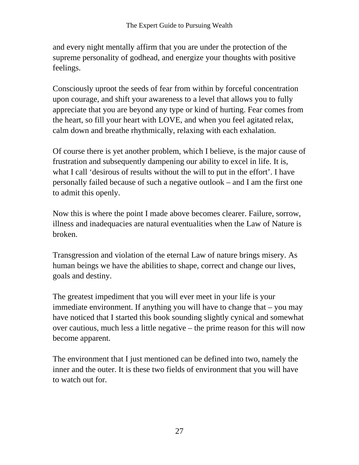and every night mentally affirm that you are under the protection of the supreme personality of godhead, and energize your thoughts with positive feelings.

Consciously uproot the seeds of fear from within by forceful concentration upon courage, and shift your awareness to a level that allows you to fully appreciate that you are beyond any type or kind of hurting. Fear comes from the heart, so fill your heart with LOVE, and when you feel agitated relax, calm down and breathe rhythmically, relaxing with each exhalation.

Of course there is yet another problem, which I believe, is the major cause of frustration and subsequently dampening our ability to excel in life. It is, what I call 'desirous of results without the will to put in the effort'. I have personally failed because of such a negative outlook – and I am the first one to admit this openly.

Now this is where the point I made above becomes clearer. Failure, sorrow, illness and inadequacies are natural eventualities when the Law of Nature is broken.

Transgression and violation of the eternal Law of nature brings misery. As human beings we have the abilities to shape, correct and change our lives, goals and destiny.

The greatest impediment that you will ever meet in your life is your immediate environment. If anything you will have to change that – you may have noticed that I started this book sounding slightly cynical and somewhat over cautious, much less a little negative – the prime reason for this will now become apparent.

The environment that I just mentioned can be defined into two, namely the inner and the outer. It is these two fields of environment that you will have to watch out for.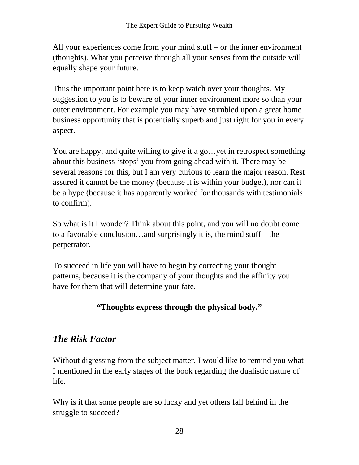All your experiences come from your mind stuff – or the inner environment (thoughts). What you perceive through all your senses from the outside will equally shape your future.

Thus the important point here is to keep watch over your thoughts. My suggestion to you is to beware of your inner environment more so than your outer environment. For example you may have stumbled upon a great home business opportunity that is potentially superb and just right for you in every aspect.

You are happy, and quite willing to give it a go…yet in retrospect something about this business 'stops' you from going ahead with it. There may be several reasons for this, but I am very curious to learn the major reason. Rest assured it cannot be the money (because it is within your budget), nor can it be a hype (because it has apparently worked for thousands with testimonials to confirm).

So what is it I wonder? Think about this point, and you will no doubt come to a favorable conclusion…and surprisingly it is, the mind stuff – the perpetrator.

To succeed in life you will have to begin by correcting your thought patterns, because it is the company of your thoughts and the affinity you have for them that will determine your fate.

#### **"Thoughts express through the physical body."**

### *The Risk Factor*

Without digressing from the subject matter, I would like to remind you what I mentioned in the early stages of the book regarding the dualistic nature of life.

Why is it that some people are so lucky and yet others fall behind in the struggle to succeed?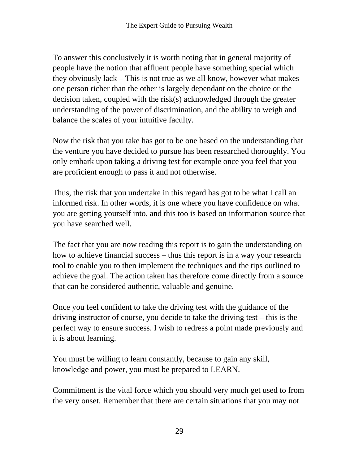To answer this conclusively it is worth noting that in general majority of people have the notion that affluent people have something special which they obviously lack – This is not true as we all know, however what makes one person richer than the other is largely dependant on the choice or the decision taken, coupled with the risk(s) acknowledged through the greater understanding of the power of discrimination, and the ability to weigh and balance the scales of your intuitive faculty.

Now the risk that you take has got to be one based on the understanding that the venture you have decided to pursue has been researched thoroughly. You only embark upon taking a driving test for example once you feel that you are proficient enough to pass it and not otherwise.

Thus, the risk that you undertake in this regard has got to be what I call an informed risk. In other words, it is one where you have confidence on what you are getting yourself into, and this too is based on information source that you have searched well.

The fact that you are now reading this report is to gain the understanding on how to achieve financial success – thus this report is in a way your research tool to enable you to then implement the techniques and the tips outlined to achieve the goal. The action taken has therefore come directly from a source that can be considered authentic, valuable and genuine.

Once you feel confident to take the driving test with the guidance of the driving instructor of course, you decide to take the driving test – this is the perfect way to ensure success. I wish to redress a point made previously and it is about learning.

You must be willing to learn constantly, because to gain any skill, knowledge and power, you must be prepared to LEARN.

Commitment is the vital force which you should very much get used to from the very onset. Remember that there are certain situations that you may not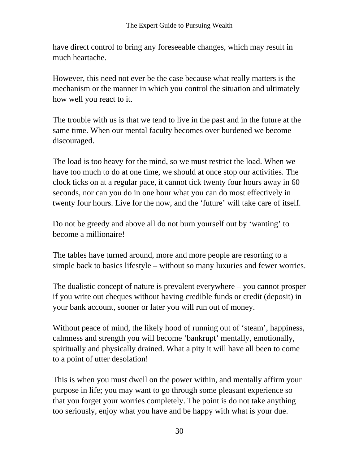have direct control to bring any foreseeable changes, which may result in much heartache.

However, this need not ever be the case because what really matters is the mechanism or the manner in which you control the situation and ultimately how well you react to it.

The trouble with us is that we tend to live in the past and in the future at the same time. When our mental faculty becomes over burdened we become discouraged.

The load is too heavy for the mind, so we must restrict the load. When we have too much to do at one time, we should at once stop our activities. The clock ticks on at a regular pace, it cannot tick twenty four hours away in 60 seconds, nor can you do in one hour what you can do most effectively in twenty four hours. Live for the now, and the 'future' will take care of itself.

Do not be greedy and above all do not burn yourself out by 'wanting' to become a millionaire!

The tables have turned around, more and more people are resorting to a simple back to basics lifestyle – without so many luxuries and fewer worries.

The dualistic concept of nature is prevalent everywhere – you cannot prosper if you write out cheques without having credible funds or credit (deposit) in your bank account, sooner or later you will run out of money.

Without peace of mind, the likely hood of running out of 'steam', happiness, calmness and strength you will become 'bankrupt' mentally, emotionally, spiritually and physically drained. What a pity it will have all been to come to a point of utter desolation!

This is when you must dwell on the power within, and mentally affirm your purpose in life; you may want to go through some pleasant experience so that you forget your worries completely. The point is do not take anything too seriously, enjoy what you have and be happy with what is your due.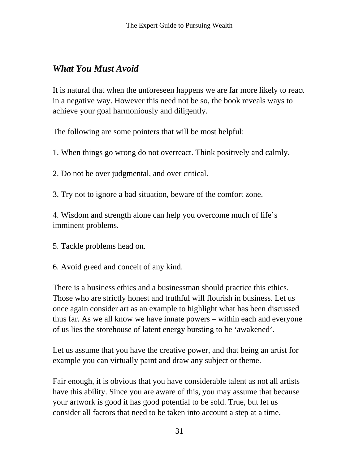# *What You Must Avoid*

It is natural that when the unforeseen happens we are far more likely to react in a negative way. However this need not be so, the book reveals ways to achieve your goal harmoniously and diligently.

The following are some pointers that will be most helpful:

1. When things go wrong do not overreact. Think positively and calmly.

2. Do not be over judgmental, and over critical.

3. Try not to ignore a bad situation, beware of the comfort zone.

4. Wisdom and strength alone can help you overcome much of life's imminent problems.

- 5. Tackle problems head on.
- 6. Avoid greed and conceit of any kind.

There is a business ethics and a businessman should practice this ethics. Those who are strictly honest and truthful will flourish in business. Let us once again consider art as an example to highlight what has been discussed thus far. As we all know we have innate powers – within each and everyone of us lies the storehouse of latent energy bursting to be 'awakened'.

Let us assume that you have the creative power, and that being an artist for example you can virtually paint and draw any subject or theme.

Fair enough, it is obvious that you have considerable talent as not all artists have this ability. Since you are aware of this, you may assume that because your artwork is good it has good potential to be sold. True, but let us consider all factors that need to be taken into account a step at a time.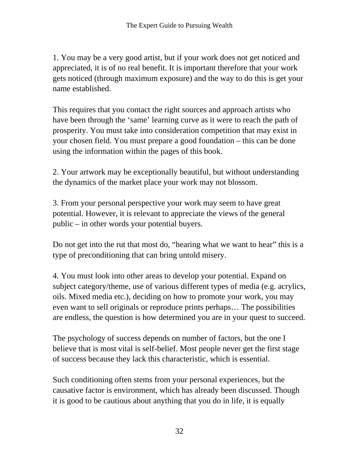1. You may be a very good artist, but if your work does not get noticed and appreciated, it is of no real benefit. It is important therefore that your work gets noticed (through maximum exposure) and the way to do this is get your name established.

This requires that you contact the right sources and approach artists who have been through the 'same' learning curve as it were to reach the path of prosperity. You must take into consideration competition that may exist in your chosen field. You must prepare a good foundation – this can be done using the information within the pages of this book.

2. Your artwork may be exceptionally beautiful, but without understanding the dynamics of the market place your work may not blossom.

3. From your personal perspective your work may seem to have great potential. However, it is relevant to appreciate the views of the general public – in other words your potential buyers.

Do not get into the rut that most do, "hearing what we want to hear" this is a type of preconditioning that can bring untold misery.

4. You must look into other areas to develop your potential. Expand on subject category/theme, use of various different types of media (e.g. acrylics, oils. Mixed media etc.), deciding on how to promote your work, you may even want to sell originals or reproduce prints perhaps… The possibilities are endless, the question is how determined you are in your quest to succeed.

The psychology of success depends on number of factors, but the one I believe that is most vital is self-belief. Most people never get the first stage of success because they lack this characteristic, which is essential.

Such conditioning often stems from your personal experiences, but the causative factor is environment, which has already been discussed. Though it is good to be cautious about anything that you do in life, it is equally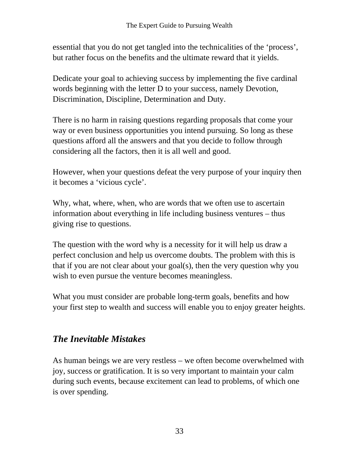essential that you do not get tangled into the technicalities of the 'process', but rather focus on the benefits and the ultimate reward that it yields.

Dedicate your goal to achieving success by implementing the five cardinal words beginning with the letter D to your success, namely Devotion, Discrimination, Discipline, Determination and Duty.

There is no harm in raising questions regarding proposals that come your way or even business opportunities you intend pursuing. So long as these questions afford all the answers and that you decide to follow through considering all the factors, then it is all well and good.

However, when your questions defeat the very purpose of your inquiry then it becomes a 'vicious cycle'.

Why, what, where, when, who are words that we often use to ascertain information about everything in life including business ventures – thus giving rise to questions.

The question with the word why is a necessity for it will help us draw a perfect conclusion and help us overcome doubts. The problem with this is that if you are not clear about your goal(s), then the very question why you wish to even pursue the venture becomes meaningless.

What you must consider are probable long-term goals, benefits and how your first step to wealth and success will enable you to enjoy greater heights.

# *The Inevitable Mistakes*

As human beings we are very restless – we often become overwhelmed with joy, success or gratification. It is so very important to maintain your calm during such events, because excitement can lead to problems, of which one is over spending.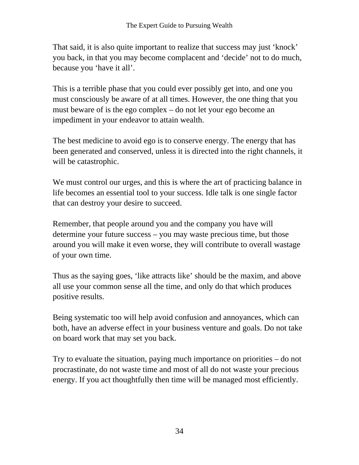That said, it is also quite important to realize that success may just 'knock' you back, in that you may become complacent and 'decide' not to do much, because you 'have it all'.

This is a terrible phase that you could ever possibly get into, and one you must consciously be aware of at all times. However, the one thing that you must beware of is the ego complex – do not let your ego become an impediment in your endeavor to attain wealth.

The best medicine to avoid ego is to conserve energy. The energy that has been generated and conserved, unless it is directed into the right channels, it will be catastrophic.

We must control our urges, and this is where the art of practicing balance in life becomes an essential tool to your success. Idle talk is one single factor that can destroy your desire to succeed.

Remember, that people around you and the company you have will determine your future success – you may waste precious time, but those around you will make it even worse, they will contribute to overall wastage of your own time.

Thus as the saying goes, 'like attracts like' should be the maxim, and above all use your common sense all the time, and only do that which produces positive results.

Being systematic too will help avoid confusion and annoyances, which can both, have an adverse effect in your business venture and goals. Do not take on board work that may set you back.

Try to evaluate the situation, paying much importance on priorities – do not procrastinate, do not waste time and most of all do not waste your precious energy. If you act thoughtfully then time will be managed most efficiently.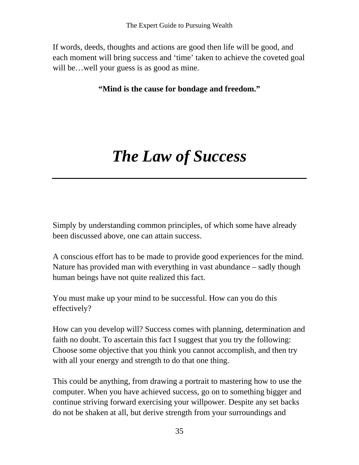If words, deeds, thoughts and actions are good then life will be good, and each moment will bring success and 'time' taken to achieve the coveted goal will be…well your guess is as good as mine.

**"Mind is the cause for bondage and freedom."** 

# *The Law of Success*

Simply by understanding common principles, of which some have already been discussed above, one can attain success.

A conscious effort has to be made to provide good experiences for the mind. Nature has provided man with everything in vast abundance – sadly though human beings have not quite realized this fact.

You must make up your mind to be successful. How can you do this effectively?

How can you develop will? Success comes with planning, determination and faith no doubt. To ascertain this fact I suggest that you try the following: Choose some objective that you think you cannot accomplish, and then try with all your energy and strength to do that one thing.

This could be anything, from drawing a portrait to mastering how to use the computer. When you have achieved success, go on to something bigger and continue striving forward exercising your willpower. Despite any set backs do not be shaken at all, but derive strength from your surroundings and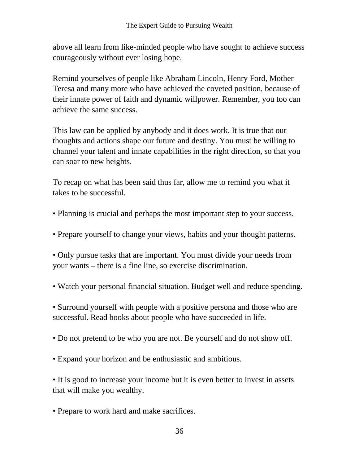above all learn from like-minded people who have sought to achieve success courageously without ever losing hope.

Remind yourselves of people like Abraham Lincoln, Henry Ford, Mother Teresa and many more who have achieved the coveted position, because of their innate power of faith and dynamic willpower. Remember, you too can achieve the same success.

This law can be applied by anybody and it does work. It is true that our thoughts and actions shape our future and destiny. You must be willing to channel your talent and innate capabilities in the right direction, so that you can soar to new heights.

To recap on what has been said thus far, allow me to remind you what it takes to be successful.

- Planning is crucial and perhaps the most important step to your success.
- Prepare yourself to change your views, habits and your thought patterns.

• Only pursue tasks that are important. You must divide your needs from your wants – there is a fine line, so exercise discrimination.

• Watch your personal financial situation. Budget well and reduce spending.

• Surround yourself with people with a positive persona and those who are successful. Read books about people who have succeeded in life.

- Do not pretend to be who you are not. Be yourself and do not show off.
- Expand your horizon and be enthusiastic and ambitious.

• It is good to increase your income but it is even better to invest in assets that will make you wealthy.

• Prepare to work hard and make sacrifices.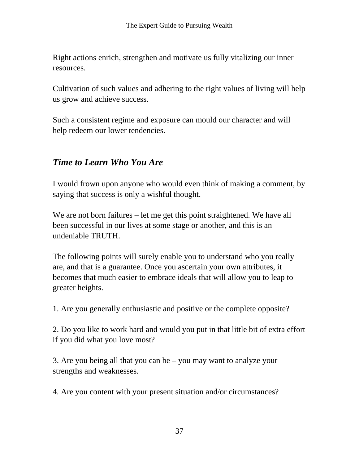Right actions enrich, strengthen and motivate us fully vitalizing our inner resources.

Cultivation of such values and adhering to the right values of living will help us grow and achieve success.

Such a consistent regime and exposure can mould our character and will help redeem our lower tendencies.

### *Time to Learn Who You Are*

I would frown upon anyone who would even think of making a comment, by saying that success is only a wishful thought.

We are not born failures – let me get this point straightened. We have all been successful in our lives at some stage or another, and this is an undeniable TRUTH.

The following points will surely enable you to understand who you really are, and that is a guarantee. Once you ascertain your own attributes, it becomes that much easier to embrace ideals that will allow you to leap to greater heights.

1. Are you generally enthusiastic and positive or the complete opposite?

2. Do you like to work hard and would you put in that little bit of extra effort if you did what you love most?

3. Are you being all that you can be – you may want to analyze your strengths and weaknesses.

4. Are you content with your present situation and/or circumstances?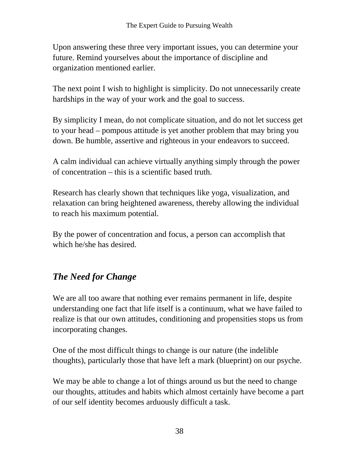Upon answering these three very important issues, you can determine your future. Remind yourselves about the importance of discipline and organization mentioned earlier.

The next point I wish to highlight is simplicity. Do not unnecessarily create hardships in the way of your work and the goal to success.

By simplicity I mean, do not complicate situation, and do not let success get to your head – pompous attitude is yet another problem that may bring you down. Be humble, assertive and righteous in your endeavors to succeed.

A calm individual can achieve virtually anything simply through the power of concentration – this is a scientific based truth.

Research has clearly shown that techniques like yoga, visualization, and relaxation can bring heightened awareness, thereby allowing the individual to reach his maximum potential.

By the power of concentration and focus, a person can accomplish that which he/she has desired.

# *The Need for Change*

We are all too aware that nothing ever remains permanent in life, despite understanding one fact that life itself is a continuum, what we have failed to realize is that our own attitudes, conditioning and propensities stops us from incorporating changes.

One of the most difficult things to change is our nature (the indelible thoughts), particularly those that have left a mark (blueprint) on our psyche.

We may be able to change a lot of things around us but the need to change our thoughts, attitudes and habits which almost certainly have become a part of our self identity becomes arduously difficult a task.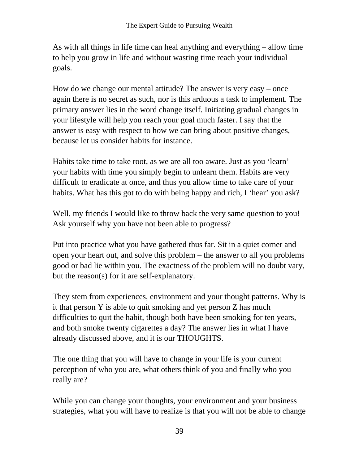As with all things in life time can heal anything and everything – allow time to help you grow in life and without wasting time reach your individual goals.

How do we change our mental attitude? The answer is very easy – once again there is no secret as such, nor is this arduous a task to implement. The primary answer lies in the word change itself. Initiating gradual changes in your lifestyle will help you reach your goal much faster. I say that the answer is easy with respect to how we can bring about positive changes, because let us consider habits for instance.

Habits take time to take root, as we are all too aware. Just as you 'learn' your habits with time you simply begin to unlearn them. Habits are very difficult to eradicate at once, and thus you allow time to take care of your habits. What has this got to do with being happy and rich, I 'hear' you ask?

Well, my friends I would like to throw back the very same question to you! Ask yourself why you have not been able to progress?

Put into practice what you have gathered thus far. Sit in a quiet corner and open your heart out, and solve this problem – the answer to all you problems good or bad lie within you. The exactness of the problem will no doubt vary, but the reason(s) for it are self-explanatory.

They stem from experiences, environment and your thought patterns. Why is it that person Y is able to quit smoking and yet person Z has much difficulties to quit the habit, though both have been smoking for ten years, and both smoke twenty cigarettes a day? The answer lies in what I have already discussed above, and it is our THOUGHTS.

The one thing that you will have to change in your life is your current perception of who you are, what others think of you and finally who you really are?

While you can change your thoughts, your environment and your business strategies, what you will have to realize is that you will not be able to change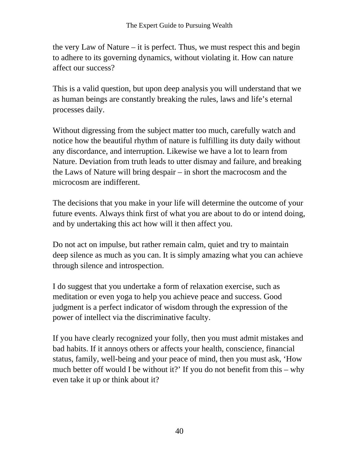the very Law of Nature – it is perfect. Thus, we must respect this and begin to adhere to its governing dynamics, without violating it. How can nature affect our success?

This is a valid question, but upon deep analysis you will understand that we as human beings are constantly breaking the rules, laws and life's eternal processes daily.

Without digressing from the subject matter too much, carefully watch and notice how the beautiful rhythm of nature is fulfilling its duty daily without any discordance, and interruption. Likewise we have a lot to learn from Nature. Deviation from truth leads to utter dismay and failure, and breaking the Laws of Nature will bring despair – in short the macrocosm and the microcosm are indifferent.

The decisions that you make in your life will determine the outcome of your future events. Always think first of what you are about to do or intend doing, and by undertaking this act how will it then affect you.

Do not act on impulse, but rather remain calm, quiet and try to maintain deep silence as much as you can. It is simply amazing what you can achieve through silence and introspection.

I do suggest that you undertake a form of relaxation exercise, such as meditation or even yoga to help you achieve peace and success. Good judgment is a perfect indicator of wisdom through the expression of the power of intellect via the discriminative faculty.

If you have clearly recognized your folly, then you must admit mistakes and bad habits. If it annoys others or affects your health, conscience, financial status, family, well-being and your peace of mind, then you must ask, 'How much better off would I be without it?' If you do not benefit from this  $-$  why even take it up or think about it?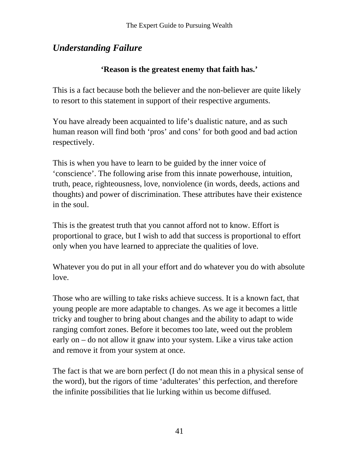# *Understanding Failure*

#### **'Reason is the greatest enemy that faith has.'**

This is a fact because both the believer and the non-believer are quite likely to resort to this statement in support of their respective arguments.

You have already been acquainted to life's dualistic nature, and as such human reason will find both 'pros' and cons' for both good and bad action respectively.

This is when you have to learn to be guided by the inner voice of 'conscience'. The following arise from this innate powerhouse, intuition, truth, peace, righteousness, love, nonviolence (in words, deeds, actions and thoughts) and power of discrimination. These attributes have their existence in the soul.

This is the greatest truth that you cannot afford not to know. Effort is proportional to grace, but I wish to add that success is proportional to effort only when you have learned to appreciate the qualities of love.

Whatever you do put in all your effort and do whatever you do with absolute love.

Those who are willing to take risks achieve success. It is a known fact, that young people are more adaptable to changes. As we age it becomes a little tricky and tougher to bring about changes and the ability to adapt to wide ranging comfort zones. Before it becomes too late, weed out the problem early on – do not allow it gnaw into your system. Like a virus take action and remove it from your system at once.

The fact is that we are born perfect (I do not mean this in a physical sense of the word), but the rigors of time 'adulterates' this perfection, and therefore the infinite possibilities that lie lurking within us become diffused.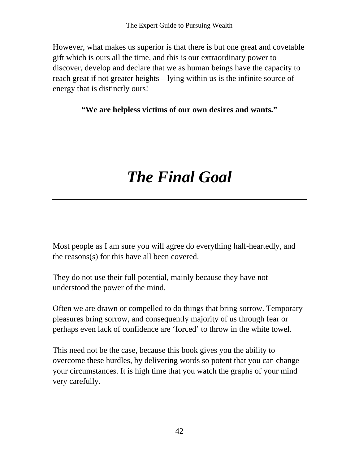However, what makes us superior is that there is but one great and covetable gift which is ours all the time, and this is our extraordinary power to discover, develop and declare that we as human beings have the capacity to reach great if not greater heights – lying within us is the infinite source of energy that is distinctly ours!

**"We are helpless victims of our own desires and wants."** 

# *The Final Goal*

Most people as I am sure you will agree do everything half-heartedly, and the reasons(s) for this have all been covered.

They do not use their full potential, mainly because they have not understood the power of the mind.

Often we are drawn or compelled to do things that bring sorrow. Temporary pleasures bring sorrow, and consequently majority of us through fear or perhaps even lack of confidence are 'forced' to throw in the white towel.

This need not be the case, because this book gives you the ability to overcome these hurdles, by delivering words so potent that you can change your circumstances. It is high time that you watch the graphs of your mind very carefully.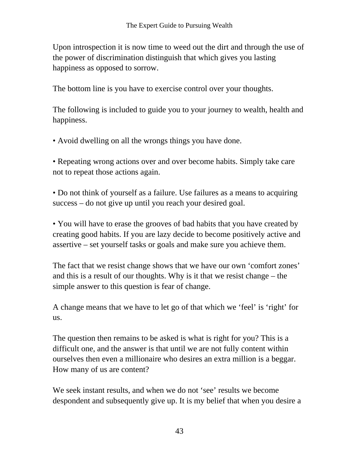Upon introspection it is now time to weed out the dirt and through the use of the power of discrimination distinguish that which gives you lasting happiness as opposed to sorrow.

The bottom line is you have to exercise control over your thoughts.

The following is included to guide you to your journey to wealth, health and happiness.

• Avoid dwelling on all the wrongs things you have done.

• Repeating wrong actions over and over become habits. Simply take care not to repeat those actions again.

• Do not think of yourself as a failure. Use failures as a means to acquiring success – do not give up until you reach your desired goal.

• You will have to erase the grooves of bad habits that you have created by creating good habits. If you are lazy decide to become positively active and assertive – set yourself tasks or goals and make sure you achieve them.

The fact that we resist change shows that we have our own 'comfort zones' and this is a result of our thoughts. Why is it that we resist change – the simple answer to this question is fear of change.

A change means that we have to let go of that which we 'feel' is 'right' for us.

The question then remains to be asked is what is right for you? This is a difficult one, and the answer is that until we are not fully content within ourselves then even a millionaire who desires an extra million is a beggar. How many of us are content?

We seek instant results, and when we do not 'see' results we become despondent and subsequently give up. It is my belief that when you desire a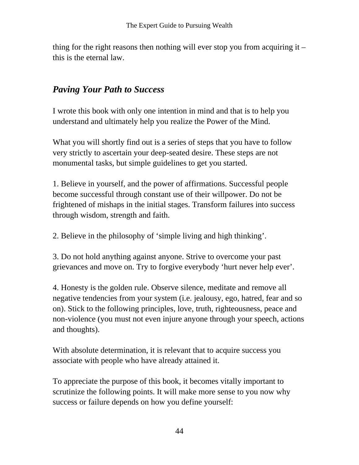thing for the right reasons then nothing will ever stop you from acquiring it  $$ this is the eternal law.

# *Paving Your Path to Success*

I wrote this book with only one intention in mind and that is to help you understand and ultimately help you realize the Power of the Mind.

What you will shortly find out is a series of steps that you have to follow very strictly to ascertain your deep-seated desire. These steps are not monumental tasks, but simple guidelines to get you started.

1. Believe in yourself, and the power of affirmations. Successful people become successful through constant use of their willpower. Do not be frightened of mishaps in the initial stages. Transform failures into success through wisdom, strength and faith.

2. Believe in the philosophy of 'simple living and high thinking'.

3. Do not hold anything against anyone. Strive to overcome your past grievances and move on. Try to forgive everybody 'hurt never help ever'.

4. Honesty is the golden rule. Observe silence, meditate and remove all negative tendencies from your system (i.e. jealousy, ego, hatred, fear and so on). Stick to the following principles, love, truth, righteousness, peace and non-violence (you must not even injure anyone through your speech, actions and thoughts).

With absolute determination, it is relevant that to acquire success you associate with people who have already attained it.

To appreciate the purpose of this book, it becomes vitally important to scrutinize the following points. It will make more sense to you now why success or failure depends on how you define yourself: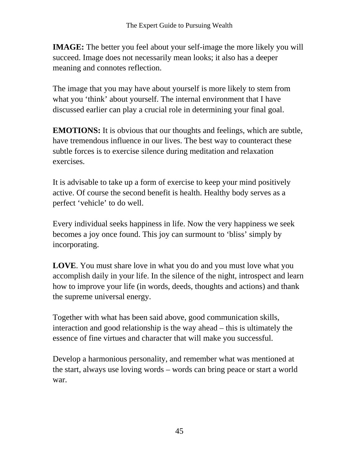**IMAGE:** The better you feel about your self-image the more likely you will succeed. Image does not necessarily mean looks; it also has a deeper meaning and connotes reflection.

The image that you may have about yourself is more likely to stem from what you 'think' about yourself. The internal environment that I have discussed earlier can play a crucial role in determining your final goal.

**EMOTIONS:** It is obvious that our thoughts and feelings, which are subtle, have tremendous influence in our lives. The best way to counteract these subtle forces is to exercise silence during meditation and relaxation exercises.

It is advisable to take up a form of exercise to keep your mind positively active. Of course the second benefit is health. Healthy body serves as a perfect 'vehicle' to do well.

Every individual seeks happiness in life. Now the very happiness we seek becomes a joy once found. This joy can surmount to 'bliss' simply by incorporating.

**LOVE**. You must share love in what you do and you must love what you accomplish daily in your life. In the silence of the night, introspect and learn how to improve your life (in words, deeds, thoughts and actions) and thank the supreme universal energy.

Together with what has been said above, good communication skills, interaction and good relationship is the way ahead – this is ultimately the essence of fine virtues and character that will make you successful.

Develop a harmonious personality, and remember what was mentioned at the start, always use loving words – words can bring peace or start a world war.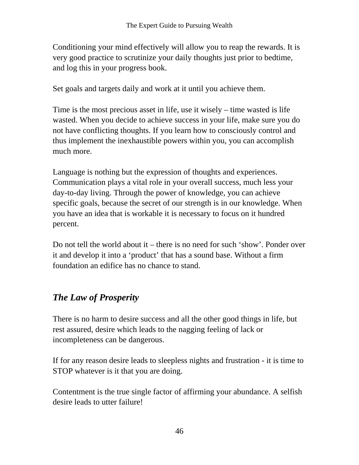Conditioning your mind effectively will allow you to reap the rewards. It is very good practice to scrutinize your daily thoughts just prior to bedtime, and log this in your progress book.

Set goals and targets daily and work at it until you achieve them.

Time is the most precious asset in life, use it wisely – time wasted is life wasted. When you decide to achieve success in your life, make sure you do not have conflicting thoughts. If you learn how to consciously control and thus implement the inexhaustible powers within you, you can accomplish much more.

Language is nothing but the expression of thoughts and experiences. Communication plays a vital role in your overall success, much less your day-to-day living. Through the power of knowledge, you can achieve specific goals, because the secret of our strength is in our knowledge. When you have an idea that is workable it is necessary to focus on it hundred percent.

Do not tell the world about it – there is no need for such 'show'. Ponder over it and develop it into a 'product' that has a sound base. Without a firm foundation an edifice has no chance to stand.

# *The Law of Prosperity*

There is no harm to desire success and all the other good things in life, but rest assured, desire which leads to the nagging feeling of lack or incompleteness can be dangerous.

If for any reason desire leads to sleepless nights and frustration - it is time to STOP whatever is it that you are doing.

Contentment is the true single factor of affirming your abundance. A selfish desire leads to utter failure!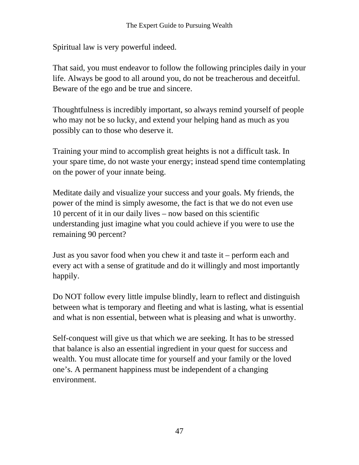Spiritual law is very powerful indeed.

That said, you must endeavor to follow the following principles daily in your life. Always be good to all around you, do not be treacherous and deceitful. Beware of the ego and be true and sincere.

Thoughtfulness is incredibly important, so always remind yourself of people who may not be so lucky, and extend your helping hand as much as you possibly can to those who deserve it.

Training your mind to accomplish great heights is not a difficult task. In your spare time, do not waste your energy; instead spend time contemplating on the power of your innate being.

Meditate daily and visualize your success and your goals. My friends, the power of the mind is simply awesome, the fact is that we do not even use 10 percent of it in our daily lives – now based on this scientific understanding just imagine what you could achieve if you were to use the remaining 90 percent?

Just as you savor food when you chew it and taste it – perform each and every act with a sense of gratitude and do it willingly and most importantly happily.

Do NOT follow every little impulse blindly, learn to reflect and distinguish between what is temporary and fleeting and what is lasting, what is essential and what is non essential, between what is pleasing and what is unworthy.

Self-conquest will give us that which we are seeking. It has to be stressed that balance is also an essential ingredient in your quest for success and wealth. You must allocate time for yourself and your family or the loved one's. A permanent happiness must be independent of a changing environment.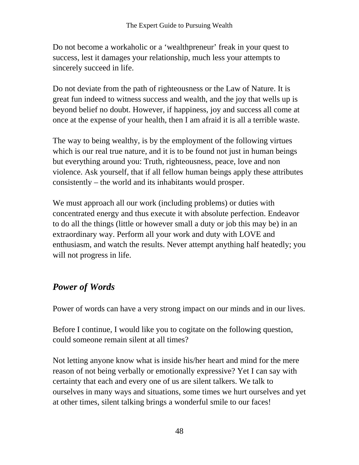Do not become a workaholic or a 'wealthpreneur' freak in your quest to success, lest it damages your relationship, much less your attempts to sincerely succeed in life.

Do not deviate from the path of righteousness or the Law of Nature. It is great fun indeed to witness success and wealth, and the joy that wells up is beyond belief no doubt. However, if happiness, joy and success all come at once at the expense of your health, then I am afraid it is all a terrible waste.

The way to being wealthy, is by the employment of the following virtues which is our real true nature, and it is to be found not just in human beings but everything around you: Truth, righteousness, peace, love and non violence. Ask yourself, that if all fellow human beings apply these attributes consistently – the world and its inhabitants would prosper.

We must approach all our work (including problems) or duties with concentrated energy and thus execute it with absolute perfection. Endeavor to do all the things (little or however small a duty or job this may be) in an extraordinary way. Perform all your work and duty with LOVE and enthusiasm, and watch the results. Never attempt anything half heatedly; you will not progress in life.

# *Power of Words*

Power of words can have a very strong impact on our minds and in our lives.

Before I continue, I would like you to cogitate on the following question, could someone remain silent at all times?

Not letting anyone know what is inside his/her heart and mind for the mere reason of not being verbally or emotionally expressive? Yet I can say with certainty that each and every one of us are silent talkers. We talk to ourselves in many ways and situations, some times we hurt ourselves and yet at other times, silent talking brings a wonderful smile to our faces!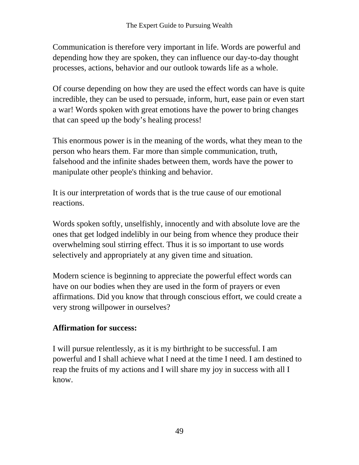Communication is therefore very important in life. Words are powerful and depending how they are spoken, they can influence our day-to-day thought processes, actions, behavior and our outlook towards life as a whole.

Of course depending on how they are used the effect words can have is quite incredible, they can be used to persuade, inform, hurt, ease pain or even start a war! Words spoken with great emotions have the power to bring changes that can speed up the body's healing process!

This enormous power is in the meaning of the words, what they mean to the person who hears them. Far more than simple communication, truth, falsehood and the infinite shades between them, words have the power to manipulate other people's thinking and behavior.

It is our interpretation of words that is the true cause of our emotional reactions.

Words spoken softly, unselfishly, innocently and with absolute love are the ones that get lodged indelibly in our being from whence they produce their overwhelming soul stirring effect. Thus it is so important to use words selectively and appropriately at any given time and situation.

Modern science is beginning to appreciate the powerful effect words can have on our bodies when they are used in the form of prayers or even affirmations. Did you know that through conscious effort, we could create a very strong willpower in ourselves?

#### **Affirmation for success:**

I will pursue relentlessly, as it is my birthright to be successful. I am powerful and I shall achieve what I need at the time I need. I am destined to reap the fruits of my actions and I will share my joy in success with all I know.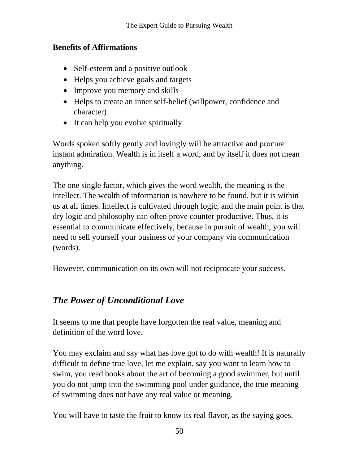#### **Benefits of Affirmations**

- Self-esteem and a positive outlook
- Helps you achieve goals and targets
- Improve you memory and skills
- Helps to create an inner self-belief (willpower, confidence and character)
- It can help you evolve spiritually

Words spoken softly gently and lovingly will be attractive and procure instant admiration. Wealth is in itself a word, and by itself it does not mean anything.

The one single factor, which gives the word wealth, the meaning is the intellect. The wealth of information is nowhere to be found, but it is within us at all times. Intellect is cultivated through logic, and the main point is that dry logic and philosophy can often prove counter productive. Thus, it is essential to communicate effectively, because in pursuit of wealth, you will need to sell yourself your business or your company via communication (words).

However, communication on its own will not reciprocate your success.

### *The Power of Unconditional Love*

It seems to me that people have forgotten the real value, meaning and definition of the word love.

You may exclaim and say what has love got to do with wealth! It is naturally difficult to define true love, let me explain, say you want to learn how to swim, you read books about the art of becoming a good swimmer, but until you do not jump into the swimming pool under guidance, the true meaning of swimming does not have any real value or meaning.

You will have to taste the fruit to know its real flavor, as the saying goes.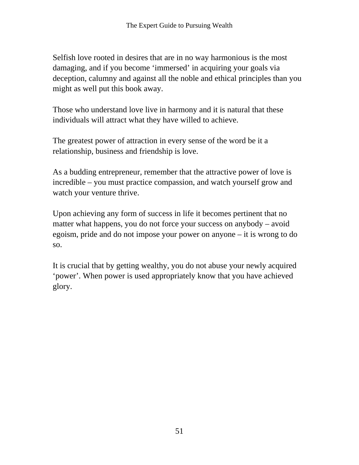Selfish love rooted in desires that are in no way harmonious is the most damaging, and if you become 'immersed' in acquiring your goals via deception, calumny and against all the noble and ethical principles than you might as well put this book away.

Those who understand love live in harmony and it is natural that these individuals will attract what they have willed to achieve.

The greatest power of attraction in every sense of the word be it a relationship, business and friendship is love.

As a budding entrepreneur, remember that the attractive power of love is incredible – you must practice compassion, and watch yourself grow and watch your venture thrive.

Upon achieving any form of success in life it becomes pertinent that no matter what happens, you do not force your success on anybody – avoid egoism, pride and do not impose your power on anyone – it is wrong to do so.

It is crucial that by getting wealthy, you do not abuse your newly acquired 'power'. When power is used appropriately know that you have achieved glory.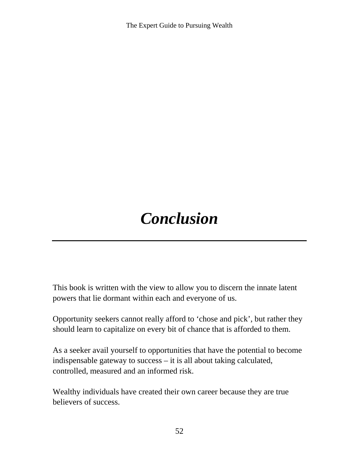The Expert Guide to Pursuing Wealth

# *Conclusion*

This book is written with the view to allow you to discern the innate latent powers that lie dormant within each and everyone of us.

Opportunity seekers cannot really afford to 'chose and pick', but rather they should learn to capitalize on every bit of chance that is afforded to them.

As a seeker avail yourself to opportunities that have the potential to become indispensable gateway to success – it is all about taking calculated, controlled, measured and an informed risk.

Wealthy individuals have created their own career because they are true believers of success.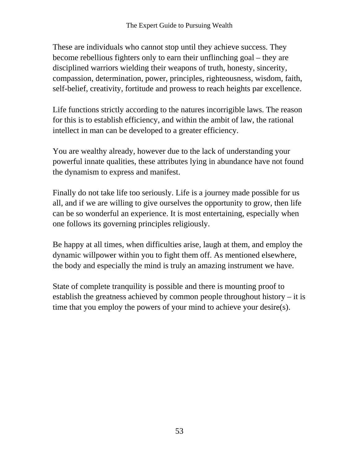These are individuals who cannot stop until they achieve success. They become rebellious fighters only to earn their unflinching goal – they are disciplined warriors wielding their weapons of truth, honesty, sincerity, compassion, determination, power, principles, righteousness, wisdom, faith, self-belief, creativity, fortitude and prowess to reach heights par excellence.

Life functions strictly according to the natures incorrigible laws. The reason for this is to establish efficiency, and within the ambit of law, the rational intellect in man can be developed to a greater efficiency.

You are wealthy already, however due to the lack of understanding your powerful innate qualities, these attributes lying in abundance have not found the dynamism to express and manifest.

Finally do not take life too seriously. Life is a journey made possible for us all, and if we are willing to give ourselves the opportunity to grow, then life can be so wonderful an experience. It is most entertaining, especially when one follows its governing principles religiously.

Be happy at all times, when difficulties arise, laugh at them, and employ the dynamic willpower within you to fight them off. As mentioned elsewhere, the body and especially the mind is truly an amazing instrument we have.

State of complete tranquility is possible and there is mounting proof to establish the greatness achieved by common people throughout history – it is time that you employ the powers of your mind to achieve your desire(s).